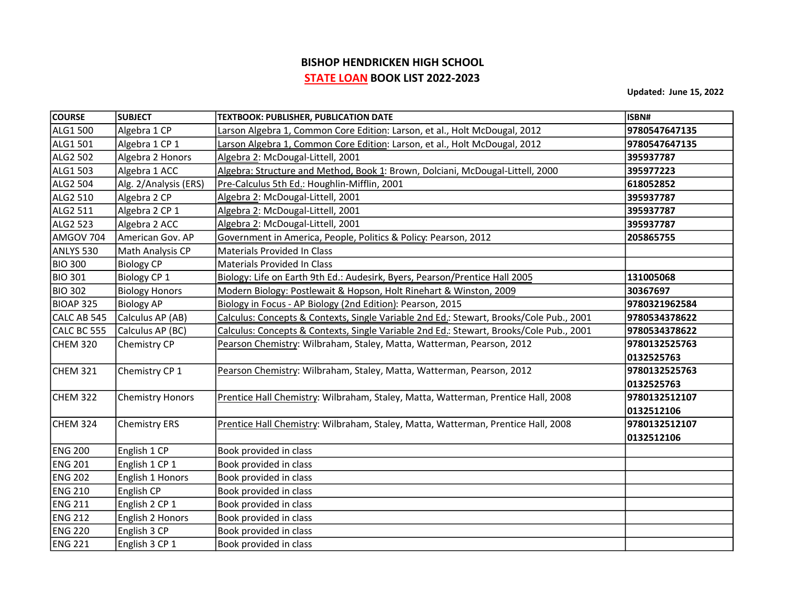## BISHOP HENDRICKEN HIGH SCHOOL STATE LOAN BOOK LIST 2022-2023

Updated: June 15, 2022

| <b>COURSE</b>  | <b>SUBJECT</b>          | <b>TEXTBOOK: PUBLISHER, PUBLICATION DATE</b>                                            | ISBN#         |
|----------------|-------------------------|-----------------------------------------------------------------------------------------|---------------|
| ALG1 500       | Algebra 1 CP            | Larson Algebra 1, Common Core Edition: Larson, et al., Holt McDougal, 2012              | 9780547647135 |
| ALG1 501       | Algebra 1 CP 1          | Larson Algebra 1, Common Core Edition: Larson, et al., Holt McDougal, 2012              | 9780547647135 |
| ALG2 502       | Algebra 2 Honors        | Algebra 2: McDougal-Littell, 2001                                                       | 395937787     |
| ALG1 503       | Algebra 1 ACC           | Algebra: Structure and Method, Book 1: Brown, Dolciani, McDougal-Littell, 2000          | 395977223     |
| ALG2 504       | Alg. 2/Analysis (ERS)   | Pre-Calculus 5th Ed.: Houghlin-Mifflin, 2001                                            | 618052852     |
| ALG2 510       | Algebra 2 CP            | Algebra 2: McDougal-Littell, 2001                                                       | 395937787     |
| ALG2 511       | Algebra 2 CP 1          | Algebra 2: McDougal-Littell, 2001                                                       | 395937787     |
| ALG2 523       | Algebra 2 ACC           | Algebra 2: McDougal-Littell, 2001                                                       | 395937787     |
| AMGOV 704      | American Gov. AP        | Government in America, People, Politics & Policy: Pearson, 2012                         | 205865755     |
| ANLYS 530      | Math Analysis CP        | <b>Materials Provided In Class</b>                                                      |               |
| <b>BIO 300</b> | <b>Biology CP</b>       | <b>Materials Provided In Class</b>                                                      |               |
| <b>BIO 301</b> | Biology CP 1            | Biology: Life on Earth 9th Ed.: Audesirk, Byers, Pearson/Prentice Hall 2005             | 131005068     |
| <b>BIO 302</b> | <b>Biology Honors</b>   | Modern Biology: Postlewait & Hopson, Holt Rinehart & Winston, 2009                      | 30367697      |
| BIOAP 325      | <b>Biology AP</b>       | Biology in Focus - AP Biology (2nd Edition): Pearson, 2015                              | 9780321962584 |
| CALC AB 545    | Calculus AP (AB)        | Calculus: Concepts & Contexts, Single Variable 2nd Ed.: Stewart, Brooks/Cole Pub., 2001 | 9780534378622 |
| CALC BC 555    | Calculus AP (BC)        | Calculus: Concepts & Contexts, Single Variable 2nd Ed.: Stewart, Brooks/Cole Pub., 2001 | 9780534378622 |
| CHEM 320       | Chemistry CP            | Pearson Chemistry: Wilbraham, Staley, Matta, Watterman, Pearson, 2012                   | 9780132525763 |
|                |                         |                                                                                         | 0132525763    |
| CHEM 321       | Chemistry CP 1          | Pearson Chemistry: Wilbraham, Staley, Matta, Watterman, Pearson, 2012                   | 9780132525763 |
|                |                         |                                                                                         | 0132525763    |
| CHEM 322       | <b>Chemistry Honors</b> | Prentice Hall Chemistry: Wilbraham, Staley, Matta, Watterman, Prentice Hall, 2008       | 9780132512107 |
|                |                         |                                                                                         | 0132512106    |
| CHEM 324       | <b>Chemistry ERS</b>    | Prentice Hall Chemistry: Wilbraham, Staley, Matta, Watterman, Prentice Hall, 2008       | 9780132512107 |
|                |                         |                                                                                         | 0132512106    |
| <b>ENG 200</b> | English 1 CP            | Book provided in class                                                                  |               |
| <b>ENG 201</b> | English 1 CP 1          | Book provided in class                                                                  |               |
| <b>ENG 202</b> | English 1 Honors        | Book provided in class                                                                  |               |
| <b>ENG 210</b> | English CP              | Book provided in class                                                                  |               |
| <b>ENG 211</b> | English 2 CP 1          | Book provided in class                                                                  |               |
| <b>ENG 212</b> | English 2 Honors        | Book provided in class                                                                  |               |
| <b>ENG 220</b> | English 3 CP            | Book provided in class                                                                  |               |
| <b>ENG 221</b> | English 3 CP 1          | Book provided in class                                                                  |               |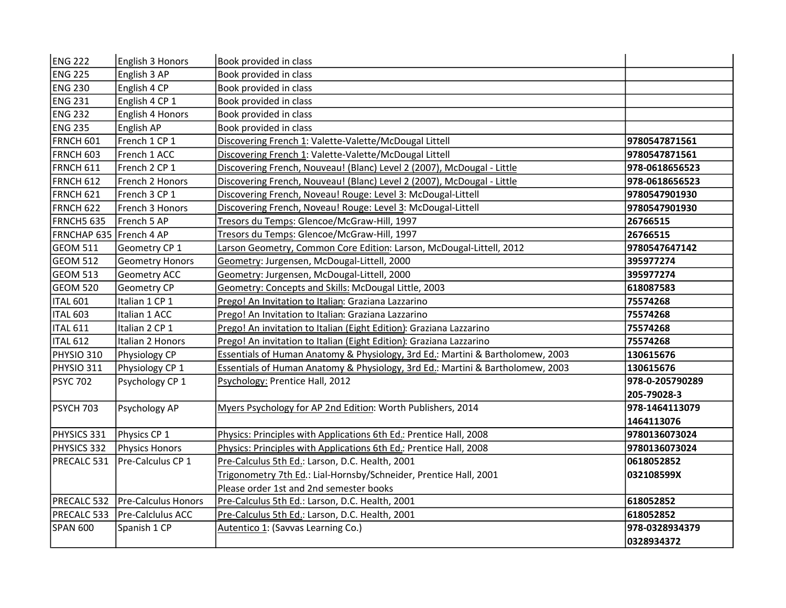| <b>ENG 222</b>            | English 3 Honors           | Book provided in class                                                         |                 |
|---------------------------|----------------------------|--------------------------------------------------------------------------------|-----------------|
| <b>ENG 225</b>            | English 3 AP               | Book provided in class                                                         |                 |
| <b>ENG 230</b>            | English 4 CP               | Book provided in class                                                         |                 |
| <b>ENG 231</b>            | English 4 CP 1             | Book provided in class                                                         |                 |
| <b>ENG 232</b>            | English 4 Honors           | Book provided in class                                                         |                 |
| <b>ENG 235</b>            | English AP                 | Book provided in class                                                         |                 |
| FRNCH 601                 | French 1 CP 1              | Discovering French 1: Valette-Valette/McDougal Littell                         | 9780547871561   |
| FRNCH 603                 | French 1 ACC               | Discovering French 1: Valette-Valette/McDougal Littell                         | 9780547871561   |
| <b>FRNCH 611</b>          | French 2 CP 1              | Discovering French, Nouveau! (Blanc) Level 2 (2007), McDougal - Little         | 978-0618656523  |
| <b>FRNCH 612</b>          | French 2 Honors            | Discovering French, Nouveau! (Blanc) Level 2 (2007), McDougal - Little         | 978-0618656523  |
| FRNCH 621                 | French 3 CP 1              | Discovering French, Noveau! Rouge: Level 3: McDougal-Littell                   | 9780547901930   |
| FRNCH 622                 | French 3 Honors            | Discovering French, Noveau! Rouge: Level 3: McDougal-Littell                   | 9780547901930   |
| FRNCH5 635                | French 5 AP                | Tresors du Temps: Glencoe/McGraw-Hill, 1997                                    | 26766515        |
| FRNCHAP 635   French 4 AP |                            | Tresors du Temps: Glencoe/McGraw-Hill, 1997                                    | 26766515        |
| <b>GEOM 511</b>           | Geometry CP 1              | Larson Geometry, Common Core Edition: Larson, McDougal-Littell, 2012           | 9780547647142   |
| GEOM 512                  | <b>Geometry Honors</b>     | Geometry: Jurgensen, McDougal-Littell, 2000                                    | 395977274       |
| GEOM 513                  | Geometry ACC               | Geometry: Jurgensen, McDougal-Littell, 2000                                    | 395977274       |
| GEOM 520                  | Geometry CP                | Geometry: Concepts and Skills: McDougal Little, 2003                           | 618087583       |
| <b>ITAL 601</b>           | Italian 1 CP 1             | Prego! An Invitation to Italian: Graziana Lazzarino                            | 75574268        |
| ITAL 603                  | Italian 1 ACC              | Prego! An Invitation to Italian: Graziana Lazzarino                            | 75574268        |
| <b>ITAL 611</b>           | Italian 2 CP 1             | Prego! An invitation to Italian (Eight Edition): Graziana Lazzarino            | 75574268        |
| <b>ITAL 612</b>           | Italian 2 Honors           | Prego! An invitation to Italian (Eight Edition): Graziana Lazzarino            | 75574268        |
| PHYSIO 310                | Physiology CP              | Essentials of Human Anatomy & Physiology, 3rd Ed.: Martini & Bartholomew, 2003 | 130615676       |
| PHYSIO 311                | Physiology CP 1            | Essentials of Human Anatomy & Physiology, 3rd Ed.: Martini & Bartholomew, 2003 | 130615676       |
| <b>PSYC 702</b>           | Psychology CP 1            | Psychology: Prentice Hall, 2012                                                | 978-0-205790289 |
|                           |                            |                                                                                | 205-79028-3     |
| <b>PSYCH 703</b>          | Psychology AP              | Myers Psychology for AP 2nd Edition: Worth Publishers, 2014                    | 978-1464113079  |
|                           |                            |                                                                                | 1464113076      |
| PHYSICS 331               | Physics CP 1               | Physics: Principles with Applications 6th Ed.: Prentice Hall, 2008             | 9780136073024   |
| PHYSICS 332               | Physics Honors             | Physics: Principles with Applications 6th Ed.: Prentice Hall, 2008             | 9780136073024   |
| PRECALC 531               | Pre-Calculus CP 1          | Pre-Calculus 5th Ed.: Larson, D.C. Health, 2001                                | 0618052852      |
|                           |                            | Trigonometry 7th Ed.: Lial-Hornsby/Schneider, Prentice Hall, 2001              | 032108599X      |
|                           |                            | Please order 1st and 2nd semester books                                        |                 |
| PRECALC 532               | <b>Pre-Calculus Honors</b> | Pre-Calculus 5th Ed.: Larson, D.C. Health, 2001                                | 618052852       |
| PRECALC 533               | Pre-Calclulus ACC          | Pre-Calculus 5th Ed.: Larson, D.C. Health, 2001                                | 618052852       |
| <b>SPAN 600</b>           | Spanish 1 CP               | Autentico 1: (Savvas Learning Co.)                                             | 978-0328934379  |
|                           |                            |                                                                                | 0328934372      |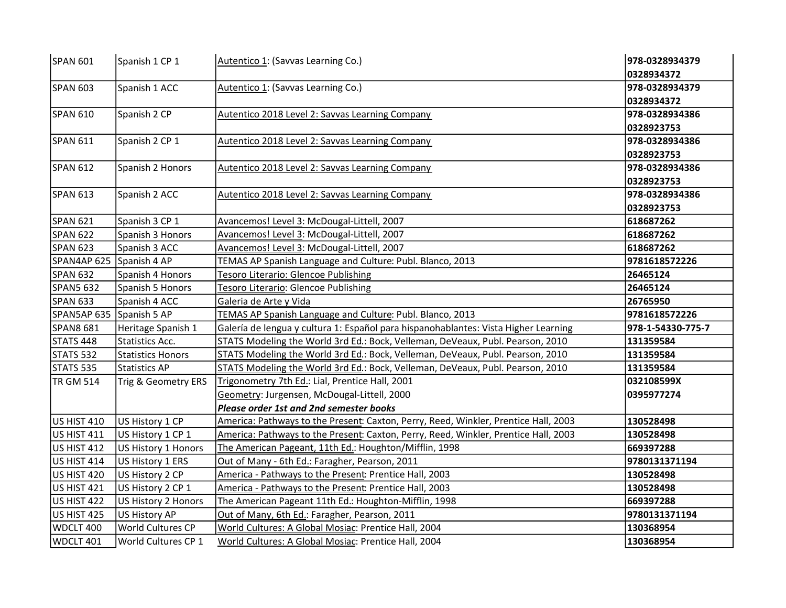| SPAN 601                 | Spanish 1 CP 1      | Autentico 1: (Savvas Learning Co.)                                                  | 978-0328934379    |
|--------------------------|---------------------|-------------------------------------------------------------------------------------|-------------------|
|                          |                     |                                                                                     | 0328934372        |
| <b>SPAN 603</b>          | Spanish 1 ACC       | Autentico 1: (Savvas Learning Co.)                                                  | 978-0328934379    |
|                          |                     |                                                                                     | 0328934372        |
| SPAN 610                 | Spanish 2 CP        | Autentico 2018 Level 2: Savvas Learning Company                                     | 978-0328934386    |
|                          |                     |                                                                                     | 0328923753        |
| SPAN 611                 | Spanish 2 CP 1      | Autentico 2018 Level 2: Savvas Learning Company                                     | 978-0328934386    |
|                          |                     |                                                                                     | 0328923753        |
| <b>SPAN 612</b>          | Spanish 2 Honors    | Autentico 2018 Level 2: Savvas Learning Company                                     | 978-0328934386    |
|                          |                     |                                                                                     | 0328923753        |
| SPAN 613                 | Spanish 2 ACC       | Autentico 2018 Level 2: Savvas Learning Company                                     | 978-0328934386    |
|                          |                     |                                                                                     | 0328923753        |
| SPAN 621                 | Spanish 3 CP 1      | Avancemos! Level 3: McDougal-Littell, 2007                                          | 618687262         |
| <b>SPAN 622</b>          | Spanish 3 Honors    | Avancemos! Level 3: McDougal-Littell, 2007                                          | 618687262         |
| SPAN 623                 | Spanish 3 ACC       | Avancemos! Level 3: McDougal-Littell, 2007                                          | 618687262         |
| SPAN4AP 625 Spanish 4 AP |                     | TEMAS AP Spanish Language and Culture: Publ. Blanco, 2013                           | 9781618572226     |
| SPAN 632                 | Spanish 4 Honors    | Tesoro Literario: Glencoe Publishing                                                | 26465124          |
| SPAN5 632                | Spanish 5 Honors    | Tesoro Literario: Glencoe Publishing                                                | 26465124          |
| <b>SPAN 633</b>          | Spanish 4 ACC       | Galeria de Arte y Vida                                                              | 26765950          |
| SPAN5AP 635 Spanish 5 AP |                     | TEMAS AP Spanish Language and Culture: Publ. Blanco, 2013                           | 9781618572226     |
| SPAN8 681                | Heritage Spanish 1  | Galería de lengua y cultura 1: Español para hispanohablantes: Vista Higher Learning | 978-1-54330-775-7 |
| STATS 448                | Statistics Acc.     | STATS Modeling the World 3rd Ed.: Bock, Velleman, DeVeaux, Publ. Pearson, 2010      | 131359584         |
| STATS 532                | Statistics Honors   | STATS Modeling the World 3rd Ed.: Bock, Velleman, DeVeaux, Publ. Pearson, 2010      | 131359584         |
| STATS 535                | Statistics AP       | STATS Modeling the World 3rd Ed.: Bock, Velleman, DeVeaux, Publ. Pearson, 2010      | 131359584         |
| TR GM 514                | Trig & Geometry ERS | Trigonometry 7th Ed.: Lial, Prentice Hall, 2001                                     | 032108599X        |
|                          |                     | Geometry: Jurgensen, McDougal-Littell, 2000                                         | 0395977274        |
|                          |                     | Please order 1st and 2nd semester books                                             |                   |
| US HIST 410              | US History 1 CP     | America: Pathways to the Present: Caxton, Perry, Reed, Winkler, Prentice Hall, 2003 | 130528498         |
| <b>US HIST 411</b>       | US History 1 CP 1   | America: Pathways to the Present: Caxton, Perry, Reed, Winkler, Prentice Hall, 2003 | 130528498         |
| US HIST 412              | US History 1 Honors | The American Pageant, 11th Ed.: Houghton/Mifflin, 1998                              | 669397288         |
| US HIST 414              | US History 1 ERS    | Out of Many - 6th Ed.: Faragher, Pearson, 2011                                      | 9780131371194     |
| US HIST 420              | US History 2 CP     | America - Pathways to the Present: Prentice Hall, 2003                              | 130528498         |
| US HIST 421              | US History 2 CP 1   | America - Pathways to the Present: Prentice Hall, 2003                              | 130528498         |
| US HIST 422              | US History 2 Honors | The American Pageant 11th Ed.: Houghton-Mifflin, 1998                               | 669397288         |
| US HIST 425              | US History AP       | Out of Many, 6th Ed.: Faragher, Pearson, 2011                                       | 9780131371194     |
| WDCLT 400                | World Cultures CP   | World Cultures: A Global Mosiac: Prentice Hall, 2004                                | 130368954         |
| WDCLT 401                | World Cultures CP 1 | World Cultures: A Global Mosiac: Prentice Hall, 2004                                | 130368954         |